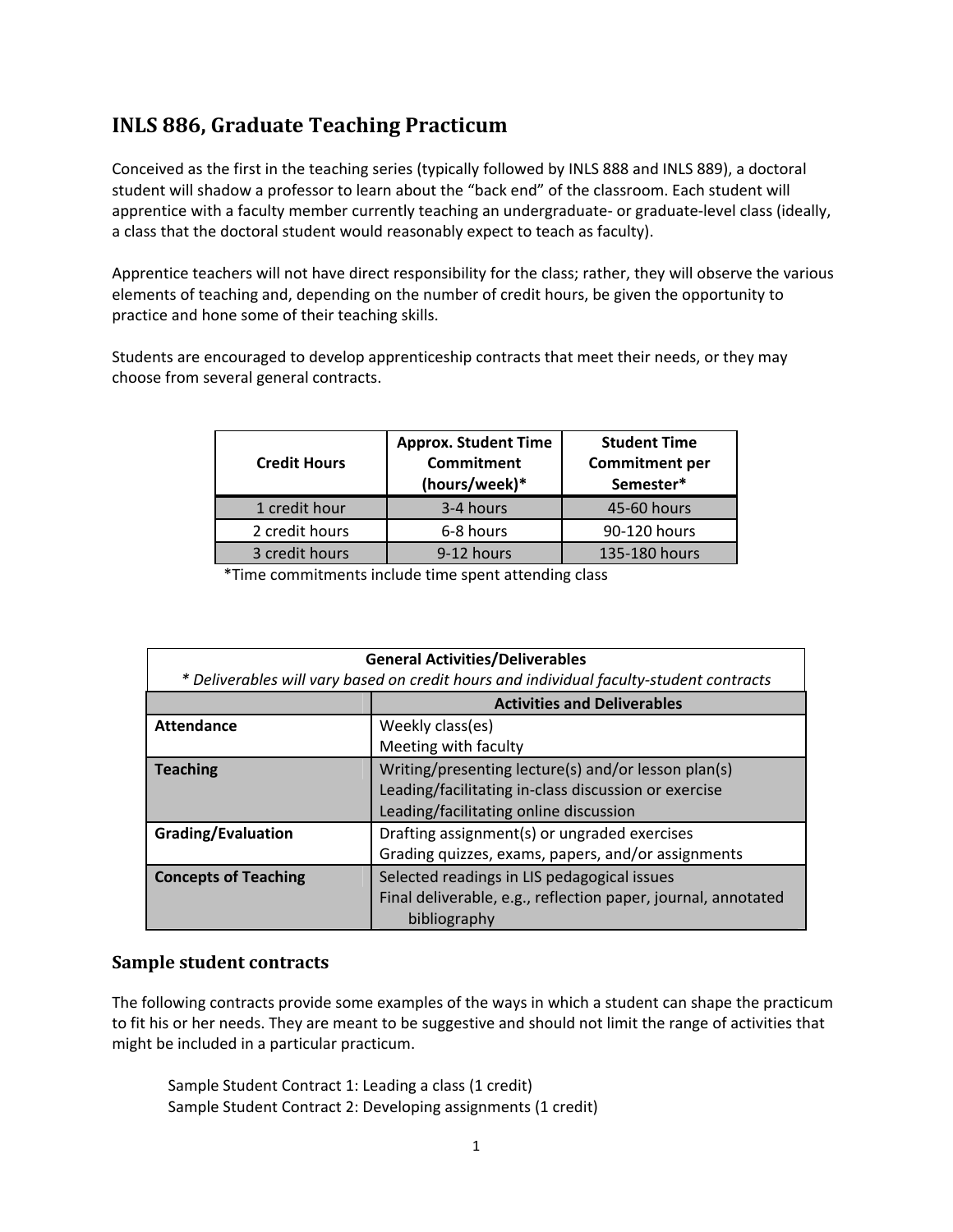#### **INLS 886, Graduate Teaching Practicum**

Conceived as the first in the teaching series (typically followed by INLS 888 and INLS 889), a doctoral student will shadow a professor to learn about the "back end" of the classroom. Each student will apprentice with a faculty member currently teaching an undergraduate- or graduate-level class (ideally, a class that the doctoral student would reasonably expect to teach as faculty).

Apprentice teachers will not have direct responsibility for the class; rather, they will observe the various elements of teaching and, depending on the number of credit hours, be given the opportunity to practice and hone some of their teaching skills.

Students are encouraged to develop apprenticeship contracts that meet their needs, or they may choose from several general contracts.

| <b>Credit Hours</b> | <b>Approx. Student Time</b><br><b>Commitment</b><br>(hours/week)* | <b>Student Time</b><br><b>Commitment per</b><br>Semester* |
|---------------------|-------------------------------------------------------------------|-----------------------------------------------------------|
| 1 credit hour       | 3-4 hours                                                         | 45-60 hours                                               |
| 2 credit hours      | 6-8 hours                                                         | 90-120 hours                                              |
| 3 credit hours      | 9-12 hours                                                        | 135-180 hours                                             |

\*Time commitments include time spent attending class

| <b>General Activities/Deliverables</b>                                                  |                                                               |  |  |
|-----------------------------------------------------------------------------------------|---------------------------------------------------------------|--|--|
| * Deliverables will vary based on credit hours and individual faculty-student contracts |                                                               |  |  |
|                                                                                         | <b>Activities and Deliverables</b>                            |  |  |
| <b>Attendance</b>                                                                       | Weekly class(es)                                              |  |  |
|                                                                                         | Meeting with faculty                                          |  |  |
| <b>Teaching</b>                                                                         | Writing/presenting lecture(s) and/or lesson plan(s)           |  |  |
|                                                                                         | Leading/facilitating in-class discussion or exercise          |  |  |
|                                                                                         | Leading/facilitating online discussion                        |  |  |
| <b>Grading/Evaluation</b>                                                               | Drafting assignment(s) or ungraded exercises                  |  |  |
|                                                                                         | Grading quizzes, exams, papers, and/or assignments            |  |  |
| <b>Concepts of Teaching</b>                                                             | Selected readings in LIS pedagogical issues                   |  |  |
|                                                                                         | Final deliverable, e.g., reflection paper, journal, annotated |  |  |
| bibliography                                                                            |                                                               |  |  |

#### **Sample student contracts**

The following contracts provide some examples of the ways in which a student can shape the practicum to fit his or her needs. They are meant to be suggestive and should not limit the range of activities that might be included in a particular practicum.

Sample Student Contract 1: Leading a class (1 credit) Sample Student Contract 2: Developing assignments (1 credit)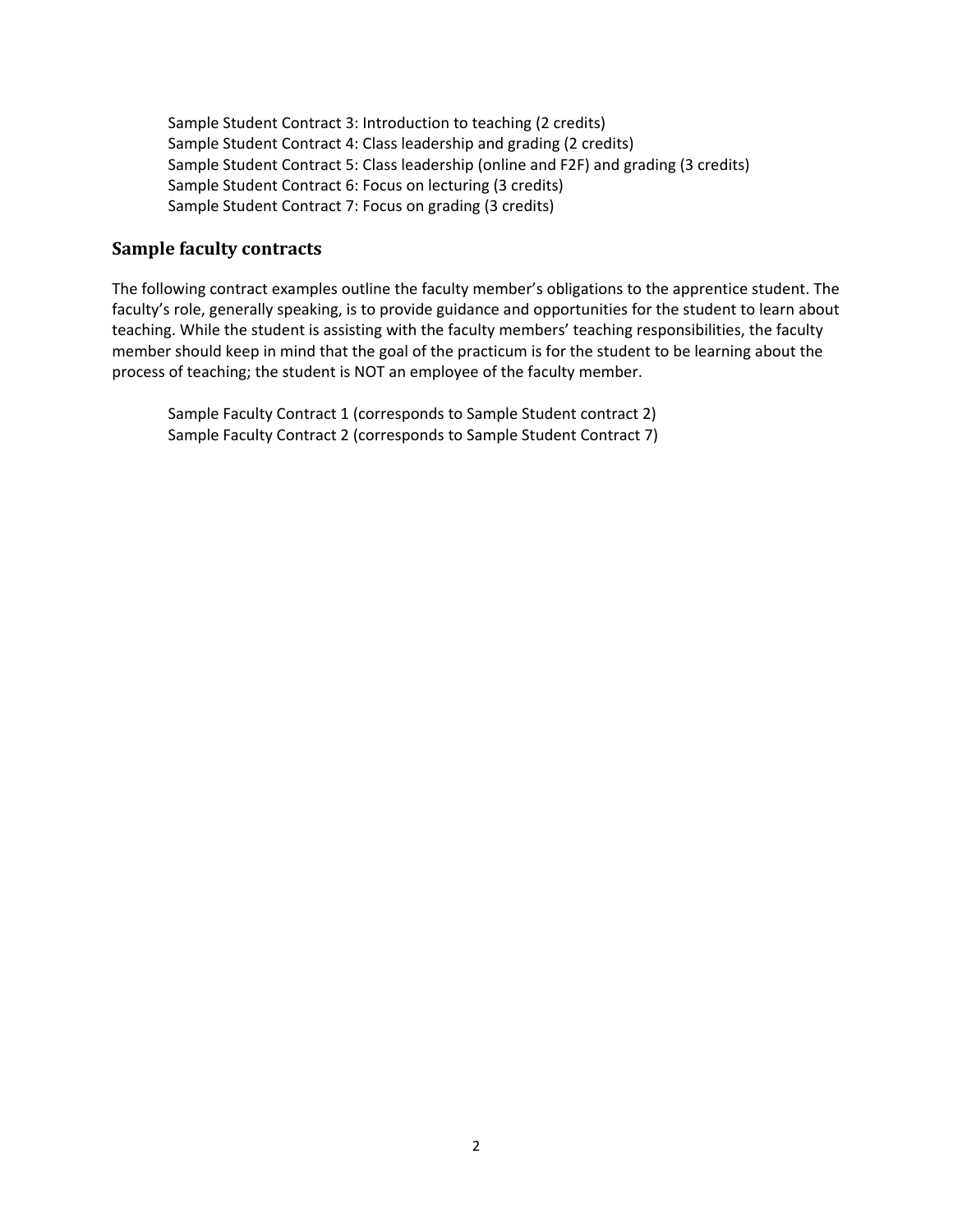Sample Student Contract 3: Introduction to teaching (2 credits) Sample Student Contract 4: Class leadership and grading (2 credits) Sample Student Contract 5: Class leadership (online and F2F) and grading (3 credits) Sample Student Contract 6: Focus on lecturing (3 credits) Sample Student Contract 7: Focus on grading (3 credits)

#### **Sample faculty contracts**

The following contract examples outline the faculty member's obligations to the apprentice student. The faculty's role, generally speaking, is to provide guidance and opportunities for the student to learn about teaching. While the student is assisting with the faculty members' teaching responsibilities, the faculty member should keep in mind that the goal of the practicum is for the student to be learning about the process of teaching; the student is NOT an employee of the faculty member.

Sample Faculty Contract 1 (corresponds to Sample Student contract 2) Sample Faculty Contract 2 (corresponds to Sample Student Contract 7)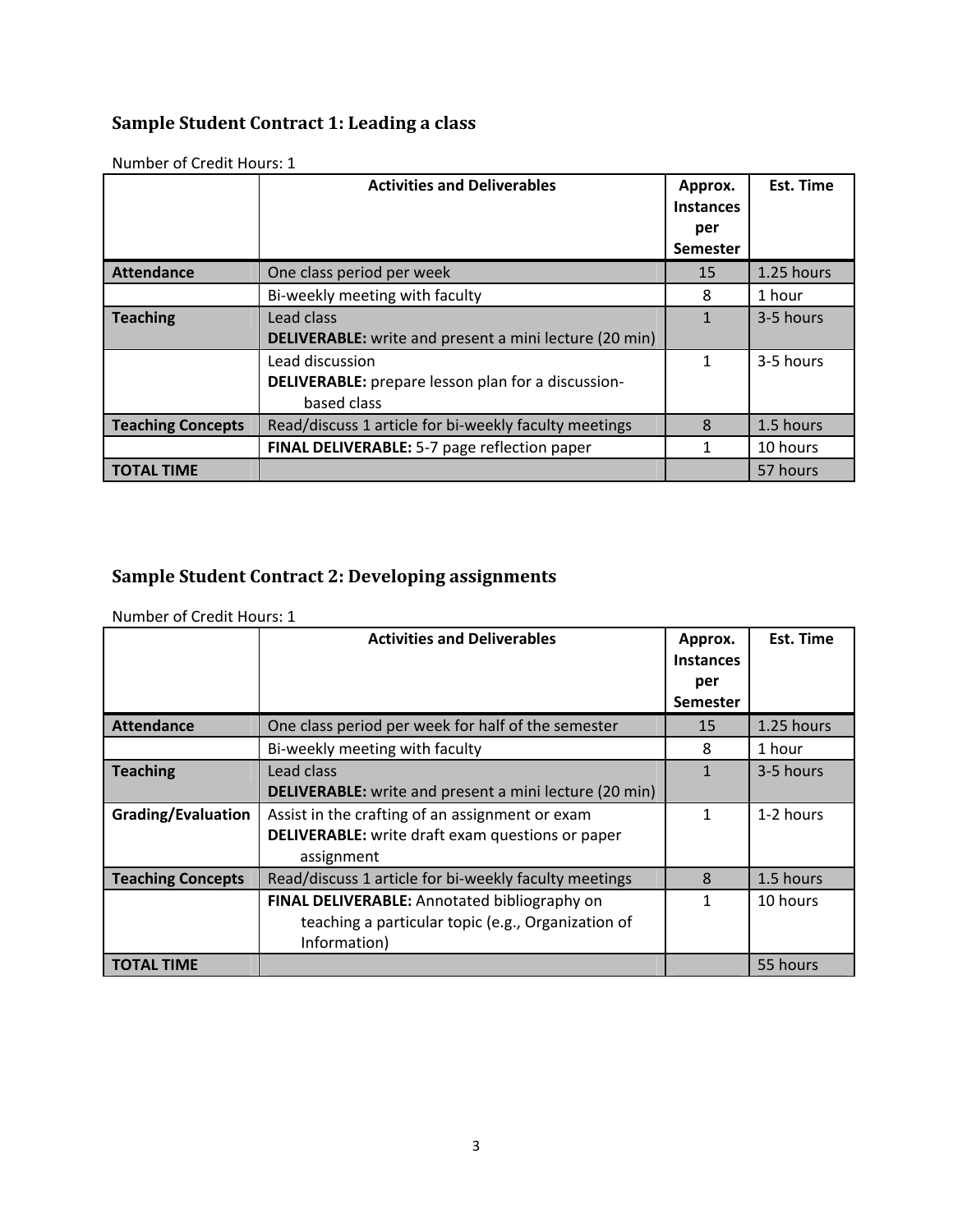#### **Sample Student Contract 1: Leading a class**

|                          | <b>Activities and Deliverables</b>                            | Approx.<br><b>Instances</b><br>per<br><b>Semester</b> | <b>Est. Time</b> |
|--------------------------|---------------------------------------------------------------|-------------------------------------------------------|------------------|
| <b>Attendance</b>        | One class period per week                                     | 15                                                    | 1.25 hours       |
|                          | Bi-weekly meeting with faculty                                | 8                                                     | 1 hour           |
| <b>Teaching</b>          | Lead class                                                    | 1                                                     | 3-5 hours        |
|                          | <b>DELIVERABLE:</b> write and present a mini lecture (20 min) |                                                       |                  |
|                          | Lead discussion                                               | 1                                                     | 3-5 hours        |
|                          | <b>DELIVERABLE:</b> prepare lesson plan for a discussion-     |                                                       |                  |
|                          | based class                                                   |                                                       |                  |
| <b>Teaching Concepts</b> | Read/discuss 1 article for bi-weekly faculty meetings         | 8                                                     | 1.5 hours        |
|                          | FINAL DELIVERABLE: 5-7 page reflection paper                  | 1                                                     | 10 hours         |
| <b>TOTAL TIME</b>        |                                                               |                                                       | 57 hours         |

Number of Credit Hours: 1

#### **Sample Student Contract 2: Developing assignments**

Number of Credit Hours: 1

|                          | <b>Activities and Deliverables</b>                            | Approx.<br><b>Instances</b><br>per<br><b>Semester</b> | Est. Time  |
|--------------------------|---------------------------------------------------------------|-------------------------------------------------------|------------|
| <b>Attendance</b>        | One class period per week for half of the semester            | 15                                                    | 1.25 hours |
|                          | Bi-weekly meeting with faculty                                | 8                                                     | 1 hour     |
| <b>Teaching</b>          | Lead class                                                    | 1                                                     | 3-5 hours  |
|                          | <b>DELIVERABLE:</b> write and present a mini lecture (20 min) |                                                       |            |
| Grading/Evaluation       | Assist in the crafting of an assignment or exam               | 1                                                     | 1-2 hours  |
|                          | <b>DELIVERABLE:</b> write draft exam questions or paper       |                                                       |            |
|                          | assignment                                                    |                                                       |            |
| <b>Teaching Concepts</b> | Read/discuss 1 article for bi-weekly faculty meetings         | 8                                                     | 1.5 hours  |
|                          | FINAL DELIVERABLE: Annotated bibliography on                  | 1                                                     | 10 hours   |
|                          | teaching a particular topic (e.g., Organization of            |                                                       |            |
|                          | Information)                                                  |                                                       |            |
| <b>TOTAL TIME</b>        |                                                               |                                                       | 55 hours   |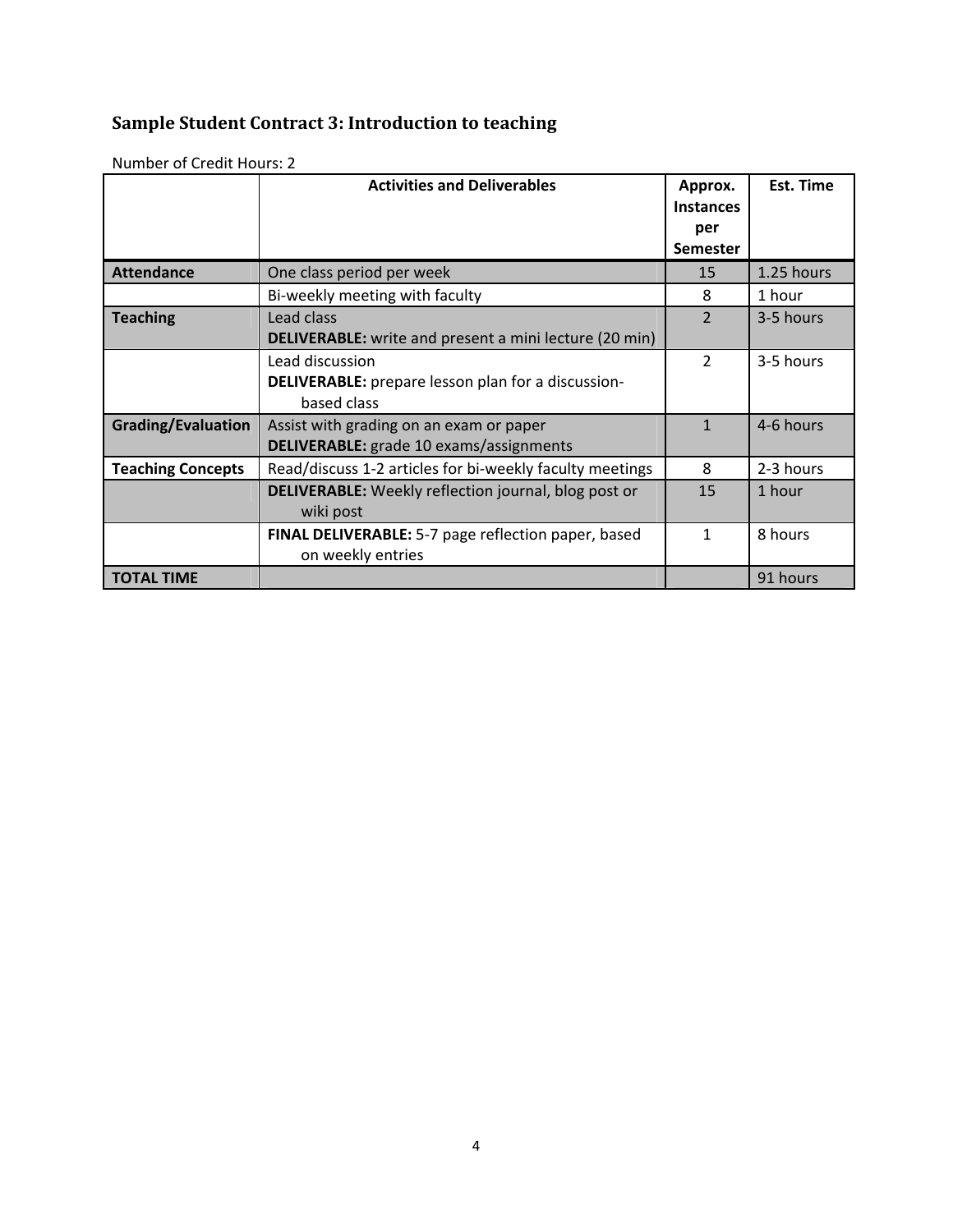# **Sample Student Contract 3: Introduction to teaching**

|                           | <b>Activities and Deliverables</b>                                       | Approx.<br><b>Instances</b><br>per<br><b>Semester</b> | Est. Time  |
|---------------------------|--------------------------------------------------------------------------|-------------------------------------------------------|------------|
| <b>Attendance</b>         | One class period per week                                                | 15                                                    | 1.25 hours |
|                           | Bi-weekly meeting with faculty                                           | 8                                                     | 1 hour     |
| <b>Teaching</b>           | Lead class                                                               | $\mathcal{P}$                                         | 3-5 hours  |
|                           | <b>DELIVERABLE:</b> write and present a mini lecture (20 min)            |                                                       |            |
|                           | Lead discussion                                                          | $\overline{2}$                                        | 3-5 hours  |
|                           | <b>DELIVERABLE:</b> prepare lesson plan for a discussion-<br>based class |                                                       |            |
| <b>Grading/Evaluation</b> | Assist with grading on an exam or paper                                  | 1                                                     | 4-6 hours  |
|                           | <b>DELIVERABLE:</b> grade 10 exams/assignments                           |                                                       |            |
| <b>Teaching Concepts</b>  | Read/discuss 1-2 articles for bi-weekly faculty meetings                 | 8                                                     | 2-3 hours  |
|                           | <b>DELIVERABLE:</b> Weekly reflection journal, blog post or              | 15                                                    | 1 hour     |
|                           | wiki post                                                                |                                                       |            |
|                           | <b>FINAL DELIVERABLE:</b> 5-7 page reflection paper, based               | 1                                                     | 8 hours    |
|                           | on weekly entries                                                        |                                                       |            |
| <b>TOTAL TIME</b>         |                                                                          |                                                       | 91 hours   |

Number of Credit Hours: 2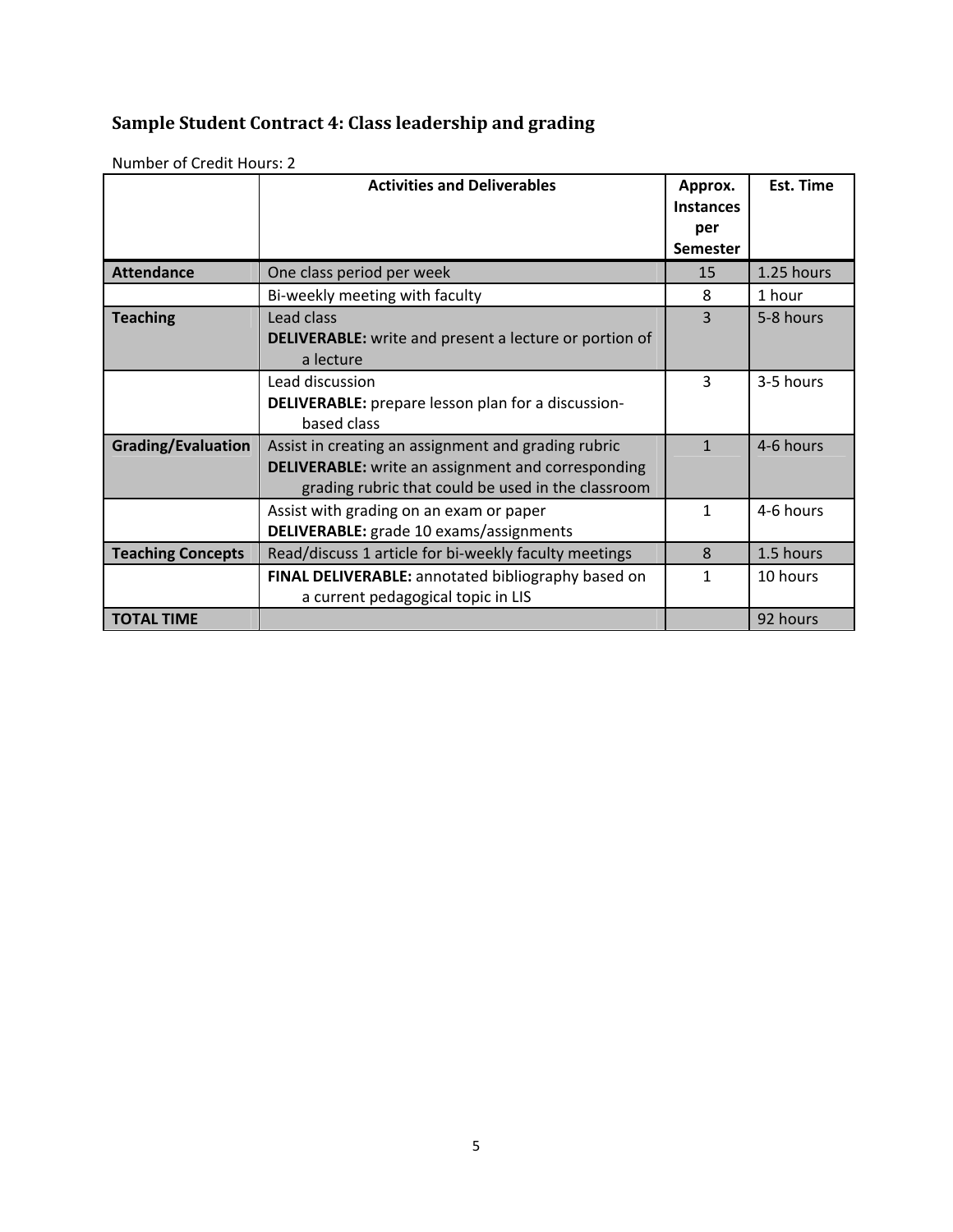# **Sample Student Contract 4: Class leadership and grading**

|                           | <b>Activities and Deliverables</b>                                                                                                                                     | Approx.<br><b>Instances</b><br>per<br><b>Semester</b> | Est. Time  |
|---------------------------|------------------------------------------------------------------------------------------------------------------------------------------------------------------------|-------------------------------------------------------|------------|
| <b>Attendance</b>         | One class period per week                                                                                                                                              | 15                                                    | 1.25 hours |
|                           | Bi-weekly meeting with faculty                                                                                                                                         | 8                                                     | 1 hour     |
| <b>Teaching</b>           | Lead class<br><b>DELIVERABLE:</b> write and present a lecture or portion of<br>a lecture                                                                               | 3                                                     | 5-8 hours  |
|                           | Lead discussion<br><b>DELIVERABLE:</b> prepare lesson plan for a discussion-<br>based class                                                                            | 3                                                     | 3-5 hours  |
| <b>Grading/Evaluation</b> | Assist in creating an assignment and grading rubric<br><b>DELIVERABLE:</b> write an assignment and corresponding<br>grading rubric that could be used in the classroom | $\mathbf{1}$                                          | 4-6 hours  |
|                           | Assist with grading on an exam or paper<br>DELIVERABLE: grade 10 exams/assignments                                                                                     | 1                                                     | 4-6 hours  |
| <b>Teaching Concepts</b>  | Read/discuss 1 article for bi-weekly faculty meetings                                                                                                                  | 8                                                     | 1.5 hours  |
|                           | FINAL DELIVERABLE: annotated bibliography based on<br>a current pedagogical topic in LIS                                                                               | 1                                                     | 10 hours   |
| <b>TOTAL TIME</b>         |                                                                                                                                                                        |                                                       | 92 hours   |

Number of Credit Hours: 2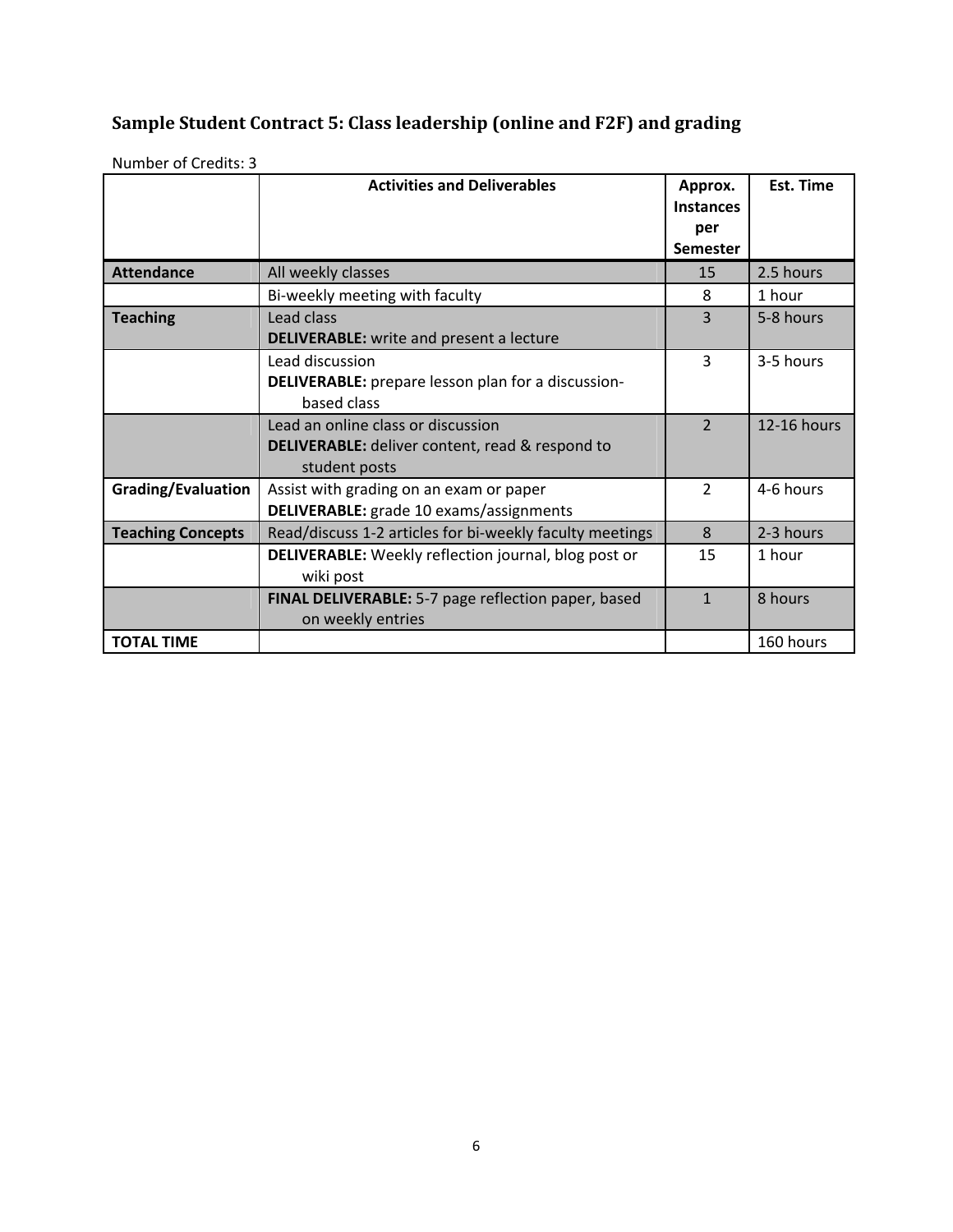#### **Sample Student Contract 5: Class leadership (online and F2F) and grading**

|                          | <b>Activities and Deliverables</b>                                                                            | Approx.<br><b>Instances</b><br>per<br><b>Semester</b> | Est. Time   |
|--------------------------|---------------------------------------------------------------------------------------------------------------|-------------------------------------------------------|-------------|
| <b>Attendance</b>        | All weekly classes                                                                                            | 15                                                    | 2.5 hours   |
|                          | Bi-weekly meeting with faculty                                                                                | 8                                                     | 1 hour      |
| <b>Teaching</b>          | Lead class<br><b>DELIVERABLE:</b> write and present a lecture                                                 | 3                                                     | 5-8 hours   |
|                          | Lead discussion<br><b>DELIVERABLE:</b> prepare lesson plan for a discussion-<br>based class                   | 3                                                     | 3-5 hours   |
|                          | Lead an online class or discussion<br><b>DELIVERABLE:</b> deliver content, read & respond to<br>student posts | $\overline{2}$                                        | 12-16 hours |
| Grading/Evaluation       | Assist with grading on an exam or paper<br>DELIVERABLE: grade 10 exams/assignments                            | $\overline{2}$                                        | 4-6 hours   |
| <b>Teaching Concepts</b> | Read/discuss 1-2 articles for bi-weekly faculty meetings                                                      | 8                                                     | 2-3 hours   |
|                          | <b>DELIVERABLE:</b> Weekly reflection journal, blog post or<br>wiki post                                      | 15                                                    | 1 hour      |
|                          | FINAL DELIVERABLE: 5-7 page reflection paper, based<br>on weekly entries                                      | $\mathbf{1}$                                          | 8 hours     |
| <b>TOTAL TIME</b>        |                                                                                                               |                                                       | 160 hours   |

Number of Credits: 3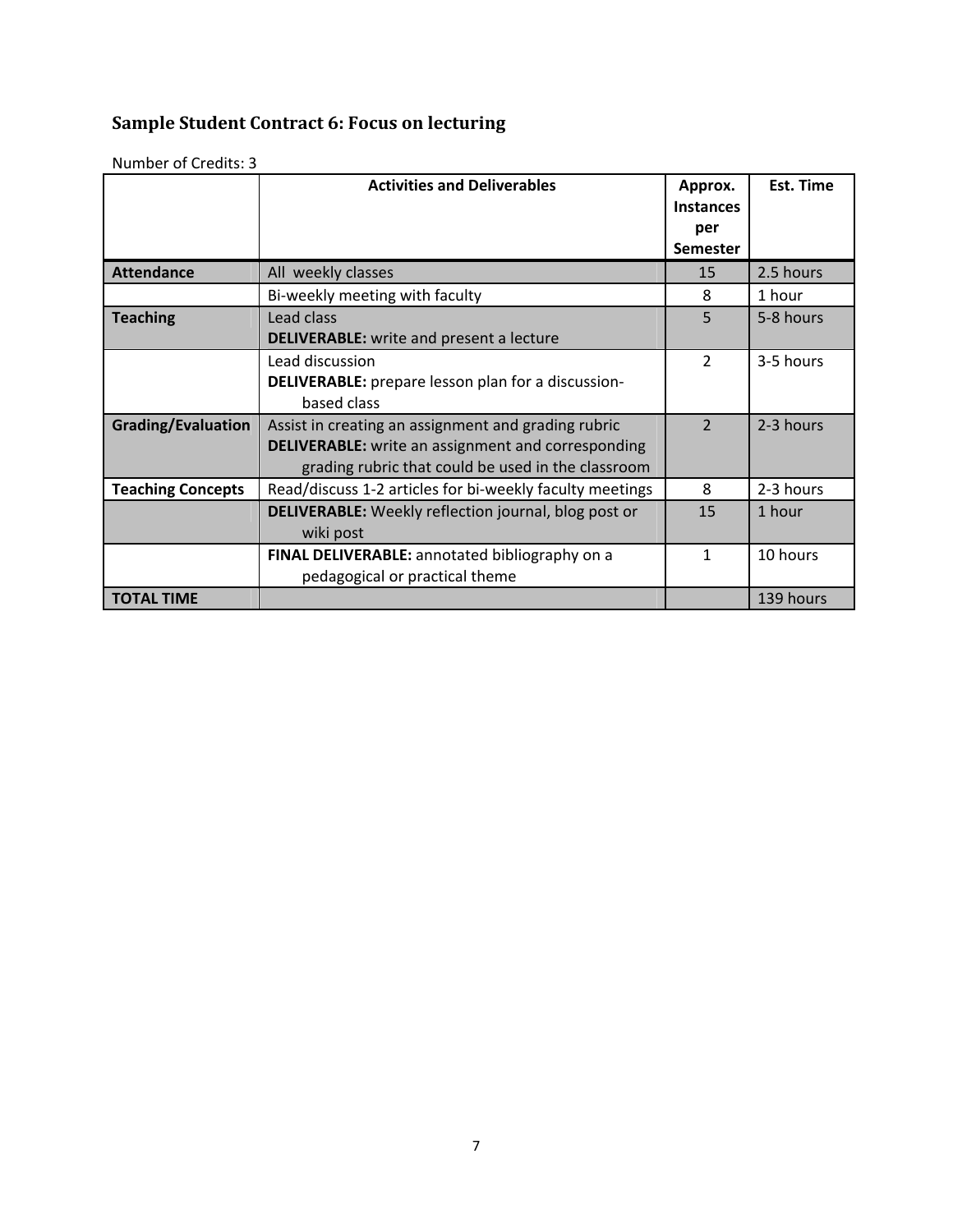# **Sample Student Contract 6: Focus on lecturing**

|                           | <b>Activities and Deliverables</b>                          | Approx.<br><b>Instances</b><br>per<br><b>Semester</b> | Est. Time |
|---------------------------|-------------------------------------------------------------|-------------------------------------------------------|-----------|
| <b>Attendance</b>         | All weekly classes                                          | 15                                                    | 2.5 hours |
|                           | Bi-weekly meeting with faculty                              | 8                                                     | 1 hour    |
| <b>Teaching</b>           | Lead class                                                  | 5                                                     | 5-8 hours |
|                           | <b>DELIVERABLE:</b> write and present a lecture             |                                                       |           |
|                           | Lead discussion                                             | $\overline{2}$                                        | 3-5 hours |
|                           | <b>DELIVERABLE:</b> prepare lesson plan for a discussion-   |                                                       |           |
|                           | based class                                                 |                                                       |           |
| <b>Grading/Evaluation</b> | Assist in creating an assignment and grading rubric         | $\overline{2}$                                        | 2-3 hours |
|                           | <b>DELIVERABLE:</b> write an assignment and corresponding   |                                                       |           |
|                           | grading rubric that could be used in the classroom          |                                                       |           |
| <b>Teaching Concepts</b>  | Read/discuss 1-2 articles for bi-weekly faculty meetings    | 8                                                     | 2-3 hours |
|                           | <b>DELIVERABLE:</b> Weekly reflection journal, blog post or | 15                                                    | 1 hour    |
|                           | wiki post                                                   |                                                       |           |
|                           | FINAL DELIVERABLE: annotated bibliography on a              | 1                                                     | 10 hours  |
|                           | pedagogical or practical theme                              |                                                       |           |
| <b>TOTAL TIME</b>         |                                                             |                                                       | 139 hours |

Number of Credits: 3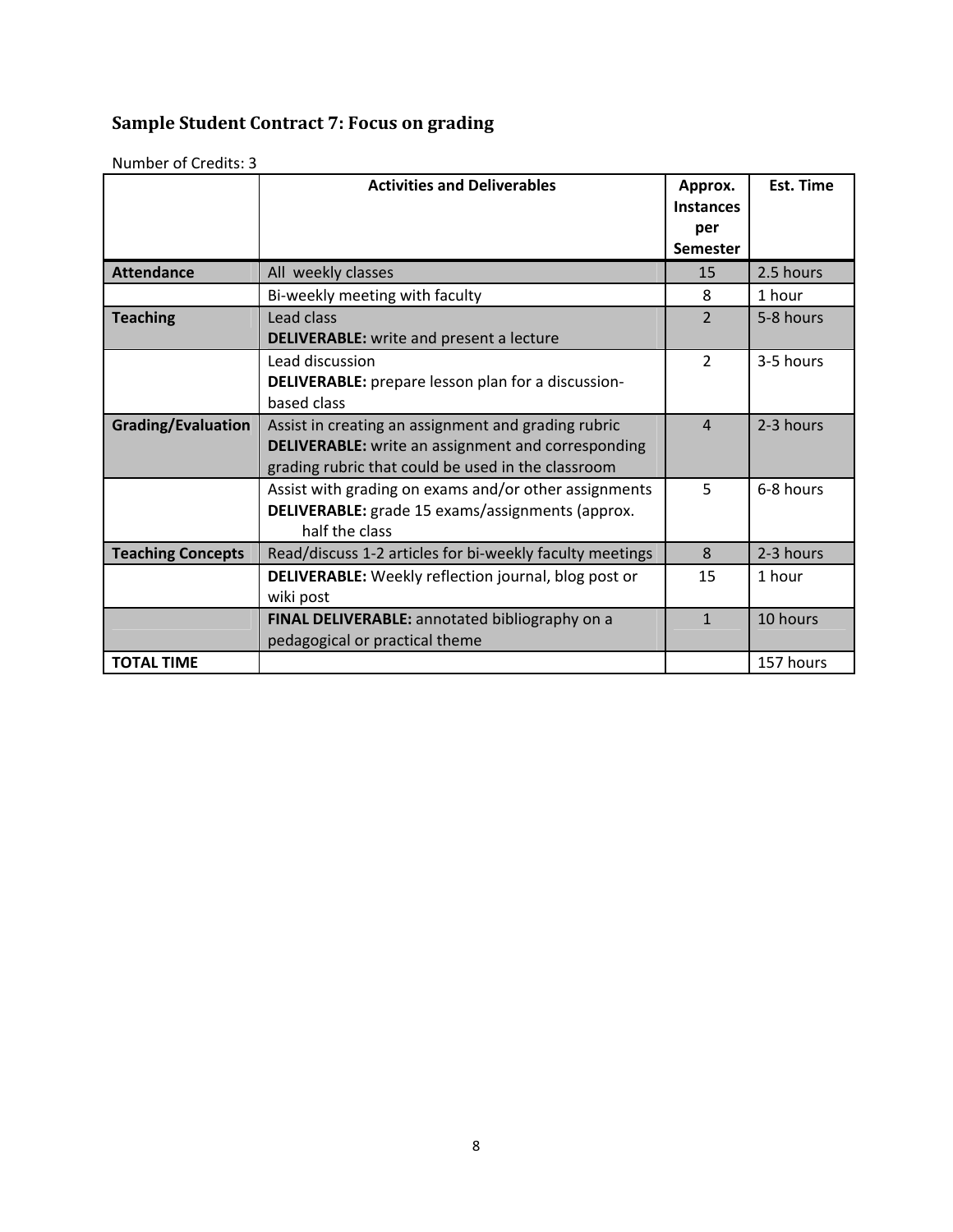# **Sample Student Contract 7: Focus on grading**

|                           | <b>Activities and Deliverables</b>                                                                                                                                     | Approx.<br><b>Instances</b><br>per<br><b>Semester</b> | <b>Est. Time</b> |
|---------------------------|------------------------------------------------------------------------------------------------------------------------------------------------------------------------|-------------------------------------------------------|------------------|
| <b>Attendance</b>         | All weekly classes                                                                                                                                                     | 15                                                    | 2.5 hours        |
|                           | Bi-weekly meeting with faculty                                                                                                                                         | 8                                                     | 1 hour           |
| <b>Teaching</b>           | Lead class<br><b>DELIVERABLE:</b> write and present a lecture                                                                                                          | $\overline{2}$                                        | 5-8 hours        |
|                           | Lead discussion<br><b>DELIVERABLE:</b> prepare lesson plan for a discussion-<br>based class                                                                            | $\overline{2}$                                        | 3-5 hours        |
| <b>Grading/Evaluation</b> | Assist in creating an assignment and grading rubric<br><b>DELIVERABLE:</b> write an assignment and corresponding<br>grading rubric that could be used in the classroom | $\overline{4}$                                        | 2-3 hours        |
|                           | Assist with grading on exams and/or other assignments<br>DELIVERABLE: grade 15 exams/assignments (approx.<br>half the class                                            | 5                                                     | 6-8 hours        |
| <b>Teaching Concepts</b>  | Read/discuss 1-2 articles for bi-weekly faculty meetings                                                                                                               | 8                                                     | 2-3 hours        |
|                           | <b>DELIVERABLE:</b> Weekly reflection journal, blog post or<br>wiki post                                                                                               | 15                                                    | 1 hour           |
|                           | FINAL DELIVERABLE: annotated bibliography on a<br>pedagogical or practical theme                                                                                       | $\mathbf{1}$                                          | 10 hours         |
| <b>TOTAL TIME</b>         |                                                                                                                                                                        |                                                       | 157 hours        |

Number of Credits: 3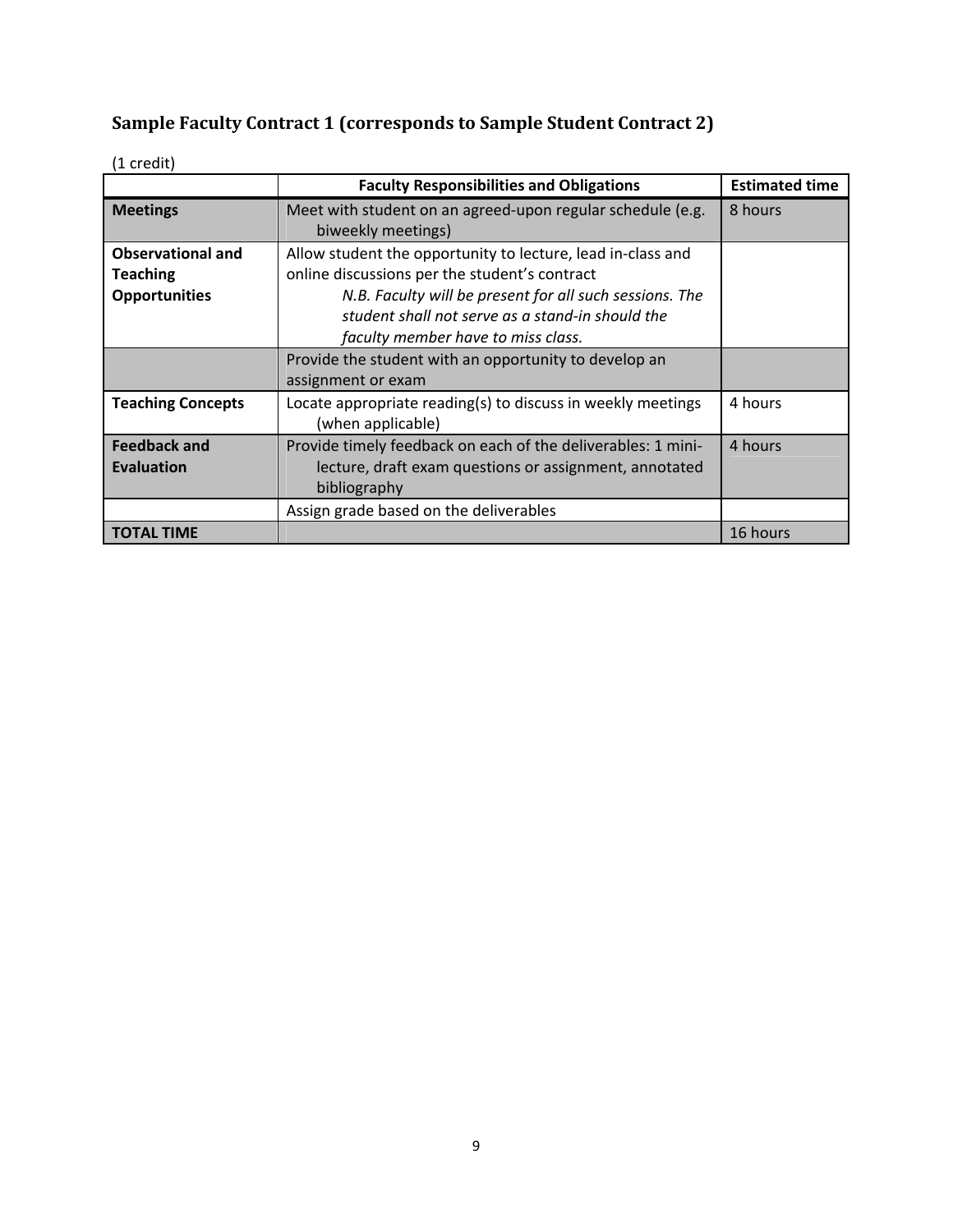# **Sample Faculty Contract 1 (corresponds to Sample Student Contract 2)**

|                                                                     | <b>Faculty Responsibilities and Obligations</b>                                                                                                                                                                                                                   | <b>Estimated time</b> |
|---------------------------------------------------------------------|-------------------------------------------------------------------------------------------------------------------------------------------------------------------------------------------------------------------------------------------------------------------|-----------------------|
| <b>Meetings</b>                                                     | Meet with student on an agreed-upon regular schedule (e.g.<br>biweekly meetings)                                                                                                                                                                                  | 8 hours               |
| <b>Observational and</b><br><b>Teaching</b><br><b>Opportunities</b> | Allow student the opportunity to lecture, lead in-class and<br>online discussions per the student's contract<br>N.B. Faculty will be present for all such sessions. The<br>student shall not serve as a stand-in should the<br>faculty member have to miss class. |                       |
|                                                                     | Provide the student with an opportunity to develop an<br>assignment or exam                                                                                                                                                                                       |                       |
| <b>Teaching Concepts</b>                                            | Locate appropriate reading(s) to discuss in weekly meetings<br>(when applicable)                                                                                                                                                                                  | 4 hours               |
| <b>Feedback and</b><br>Evaluation                                   | Provide timely feedback on each of the deliverables: 1 mini-<br>lecture, draft exam questions or assignment, annotated<br>bibliography                                                                                                                            | 4 hours               |
|                                                                     | Assign grade based on the deliverables                                                                                                                                                                                                                            |                       |
| <b>TOTAL TIME</b>                                                   |                                                                                                                                                                                                                                                                   | 16 hours              |

(1 credit)